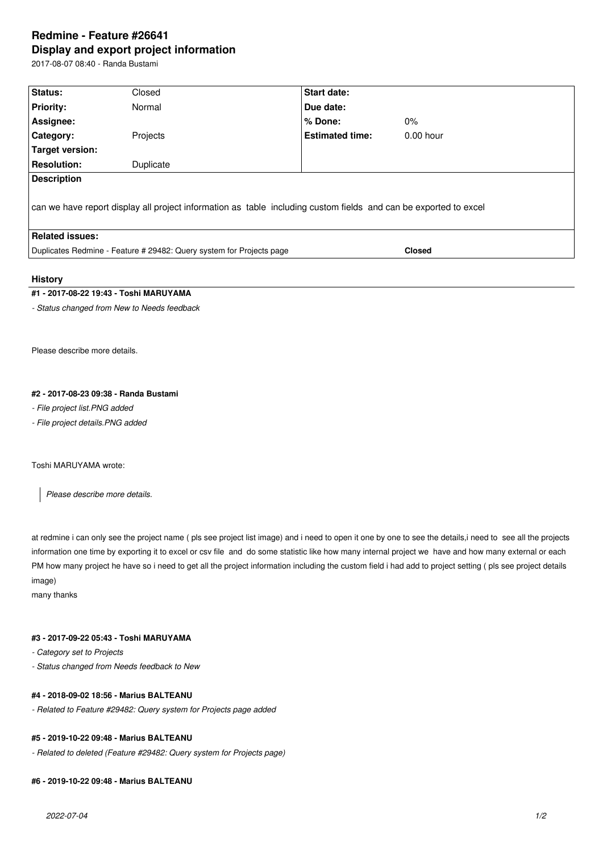# **Redmine - Feature #26641 Display and export project information**

2017-08-07 08:40 - Randa Bustami

| Status:                                                                                                          | Closed    | <b>Start date:</b>     |               |  |  |
|------------------------------------------------------------------------------------------------------------------|-----------|------------------------|---------------|--|--|
| <b>Priority:</b>                                                                                                 | Normal    | Due date:              |               |  |  |
| Assignee:                                                                                                        |           | $%$ Done:              | $0\%$         |  |  |
| Category:                                                                                                        | Projects  | <b>Estimated time:</b> | $0.00$ hour   |  |  |
| Target version:                                                                                                  |           |                        |               |  |  |
| <b>Resolution:</b>                                                                                               | Duplicate |                        |               |  |  |
| <b>Description</b>                                                                                               |           |                        |               |  |  |
| can we have report display all project information as table including custom fields and can be exported to excel |           |                        |               |  |  |
| <b>Related issues:</b>                                                                                           |           |                        |               |  |  |
| Duplicates Redmine - Feature # 29482: Query system for Projects page                                             |           |                        | <b>Closed</b> |  |  |
|                                                                                                                  |           |                        |               |  |  |

#### **History**

## **#1 - 2017-08-22 19:43 - Toshi MARUYAMA**

*- Status changed from New to Needs feedback*

Please describe more details.

#### **#2 - 2017-08-23 09:38 - Randa Bustami**

*- File project list.PNG added*

*- File project details.PNG added*

#### Toshi MARUYAMA wrote:

*Please describe more details.*

at redmine i can only see the project name ( pls see project list image) and i need to open it one by one to see the details,i need to see all the projects information one time by exporting it to excel or csv file and do some statistic like how many internal project we have and how many external or each PM how many project he have so i need to get all the project information including the custom field i had add to project setting ( pls see project details image)

many thanks

## **#3 - 2017-09-22 05:43 - Toshi MARUYAMA**

*- Category set to Projects*

*- Status changed from Needs feedback to New*

## **#4 - 2018-09-02 18:56 - Marius BALTEANU**

*- Related to Feature #29482: Query system for Projects page added*

## **#5 - 2019-10-22 09:48 - Marius BALTEANU**

*- Related to deleted (Feature #29482: Query system for Projects page)*

#### **#6 - 2019-10-22 09:48 - Marius BALTEANU**